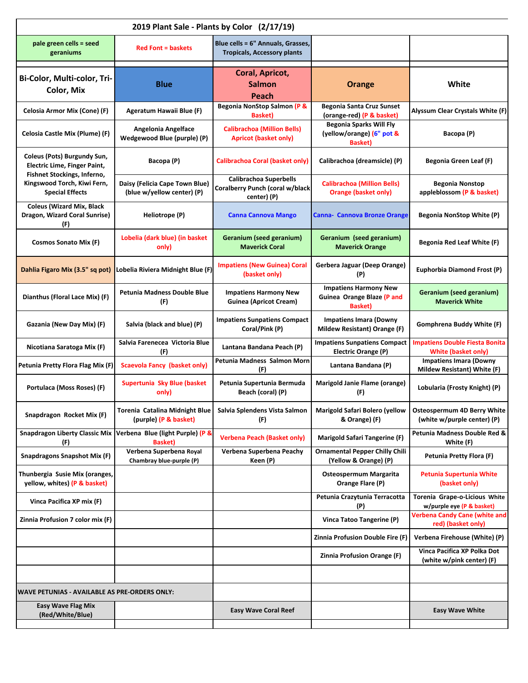| 2019 Plant Sale - Plants by Color (2/17/19)                                                       |                                                              |                                                                                 |                                                                                |                                                                     |  |  |  |
|---------------------------------------------------------------------------------------------------|--------------------------------------------------------------|---------------------------------------------------------------------------------|--------------------------------------------------------------------------------|---------------------------------------------------------------------|--|--|--|
| pale green cells = seed<br>geraniums                                                              | <b>Red Font = baskets</b>                                    | Blue cells = 6" Annuals, Grasses,<br><b>Tropicals, Accessory plants</b>         |                                                                                |                                                                     |  |  |  |
| Bi-Color, Multi-color, Tri-<br><b>Color, Mix</b>                                                  | <b>Blue</b>                                                  | Coral, Apricot,<br>Salmon<br>Peach                                              | <b>Orange</b>                                                                  | White                                                               |  |  |  |
| Celosia Armor Mix (Cone) (F)                                                                      | Ageratum Hawaii Blue (F)                                     | Begonia NonStop Salmon (P &<br><b>Basket</b> )                                  | Begonia Santa Cruz Sunset<br>(orange-red) (P & basket)                         | Alyssum Clear Crystals White (F)                                    |  |  |  |
| Celosia Castle Mix (Plume) (F)                                                                    | <b>Angelonia Angelface</b><br>Wedgewood Blue (purple) (P)    | <b>Calibrachoa (Million Bells)</b><br><b>Apricot (basket only)</b>              | <b>Begonia Sparks Will Fly</b><br>(yellow/orange) (6" pot &<br><b>Basket</b> ) | Bacopa (P)                                                          |  |  |  |
| Coleus (Pots) Burgundy Sun,<br><b>Electric Lime, Finger Paint,</b><br>Fishnet Stockings, Inferno, | Bacopa (P)                                                   | <b>Calibrachoa Coral (basket only)</b>                                          | Calibrachoa (dreamsicle) (P)                                                   | <b>Begonia Green Leaf (F)</b>                                       |  |  |  |
| Kingswood Torch, Kiwi Fern,<br><b>Special Effects</b>                                             | Daisy (Felicia Cape Town Blue)<br>(blue w/yellow center) (P) | <b>Calibrachoa Superbells</b><br>Coralberry Punch (coral w/black<br>center) (P) | <b>Calibrachoa (Million Bells)</b><br><b>Orange (basket only)</b>              | <b>Begonia Nonstop</b><br>appleblossom (P & basket)                 |  |  |  |
| <b>Coleus (Wizard Mix, Black</b><br>Dragon, Wizard Coral Sunrise)<br>(F)                          | Heliotrope (P)                                               | <b>Canna Cannova Mango</b>                                                      | <b>Canna- Cannova Bronze Orange</b>                                            | <b>Begonia NonStop White (P)</b>                                    |  |  |  |
| <b>Cosmos Sonato Mix (F)</b>                                                                      | Lobelia (dark blue) (in basket<br>only)                      | <b>Geranium (seed geranium)</b><br><b>Maverick Coral</b>                        | Geranium (seed geranium)<br><b>Maverick Orange</b>                             | <b>Begonia Red Leaf White (F)</b>                                   |  |  |  |
| Dahlia Figaro Mix (3.5" sq pot)                                                                   | Lobelia Riviera Midnight Blue (F)                            | <b>Impatiens (New Guinea) Coral</b><br>(basket only)                            | Gerbera Jaguar (Deep Orange)<br>(P)                                            | Euphorbia Diamond Frost (P)                                         |  |  |  |
| Dianthus (Floral Lace Mix) (F)                                                                    | <b>Petunia Madness Double Blue</b><br>(F)                    | <b>Impatiens Harmony New</b><br><b>Guinea (Apricot Cream)</b>                   | <b>Impatiens Harmony New</b><br>Guinea Orange Blaze (P and<br><b>Basket)</b>   | <b>Geranium (seed geranium)</b><br><b>Maverick White</b>            |  |  |  |
| Gazania (New Day Mix) (F)                                                                         | Salvia (black and blue) (P)                                  | <b>Impatiens Sunpatiens Compact</b><br>Coral/Pink (P)                           | <b>Impatiens Imara (Downy</b><br>Mildew Resistant) Orange (F)                  | Gomphrena Buddy White (F)                                           |  |  |  |
| Nicotiana Saratoga Mix (F)                                                                        | Salvia Farenecea Victoria Blue<br>(F)                        | Lantana Bandana Peach (P)                                                       | <b>Impatiens Sunpatiens Compact</b><br>Electric Orange (P)                     | <b>Impatiens Double Fiesta Bonita</b><br><b>White (basket only)</b> |  |  |  |
| Petunia Pretty Flora Flag Mix (F)                                                                 | <b>Scaevola Fancy (basket only)</b>                          | Petunia Madness Salmon Morn<br>(F)                                              | Lantana Bandana (P)                                                            | <b>Impatiens Imara (Downy</b><br>Mildew Resistant) White (F)        |  |  |  |
| Portulaca (Moss Roses) (F)                                                                        | Supertunia Sky Blue (basket<br>only)                         | Petunia Supertunia Bermuda<br>Beach (coral) (P)                                 | Marigold Janie Flame (orange)<br>(F)                                           | Lobularia (Frosty Knight) (P)                                       |  |  |  |
| Snapdragon Rocket Mix (F)                                                                         | Torenia Catalina Midnight Blue<br>(purple) (P & basket)      | Salvia Splendens Vista Salmon<br>(F)                                            | <b>Marigold Safari Bolero (yellow</b><br>& Orange) (F)                         | Osteospermum 4D Berry White<br>(white w/purple center) (P)          |  |  |  |
| <b>Snapdragon Liberty Classic Mix</b><br>(F)                                                      | Verbena Blue (light Purple) (P &<br><b>Basket</b> )          | <b>Verbena Peach (Basket only)</b>                                              | <b>Marigold Safari Tangerine (F)</b>                                           | Petunia Madness Double Red &<br>White (F)                           |  |  |  |
| <b>Snapdragons Snapshot Mix (F)</b>                                                               | Verbena Superbena Royal<br>Chambray blue-purple (P)          | Verbena Superbena Peachy<br>Keen (P)                                            | <b>Ornamental Pepper Chilly Chili</b><br>(Yellow & Orange) (P)                 | Petunia Pretty Flora (F)                                            |  |  |  |
| Thunbergia Susie Mix (oranges,<br>yellow, whites) (P & basket)                                    |                                                              |                                                                                 | <b>Osteospermum Margarita</b><br>Orange Flare (P)                              | Petunia Supertunia White<br>(basket only)                           |  |  |  |
| Vinca Pacifica XP mix (F)                                                                         |                                                              |                                                                                 | Petunia Crazytunia Terracotta<br>(P)                                           | Torenia Grape-o-Licious White<br>w/purple eye (P & basket)          |  |  |  |
| Zinnia Profusion 7 color mix (F)                                                                  |                                                              |                                                                                 | Vinca Tatoo Tangerine (P)                                                      | <b>Verbena Candy Cane (white and</b><br>red) (basket only)          |  |  |  |
|                                                                                                   |                                                              |                                                                                 | Zinnia Profusion Double Fire (F)                                               | Verbena Firehouse (White) (P)                                       |  |  |  |
|                                                                                                   |                                                              |                                                                                 | <b>Zinnia Profusion Orange (F)</b>                                             | Vinca Pacifica XP Polka Dot<br>(white w/pink center) (F)            |  |  |  |
|                                                                                                   |                                                              |                                                                                 |                                                                                |                                                                     |  |  |  |
| <b>WAVE PETUNIAS - AVAILABLE AS PRE-ORDERS ONLY:</b><br><b>Easy Wave Flag Mix</b>                 |                                                              |                                                                                 |                                                                                |                                                                     |  |  |  |
| (Red/White/Blue)                                                                                  |                                                              | <b>Easy Wave Coral Reef</b>                                                     |                                                                                | <b>Easy Wave White</b>                                              |  |  |  |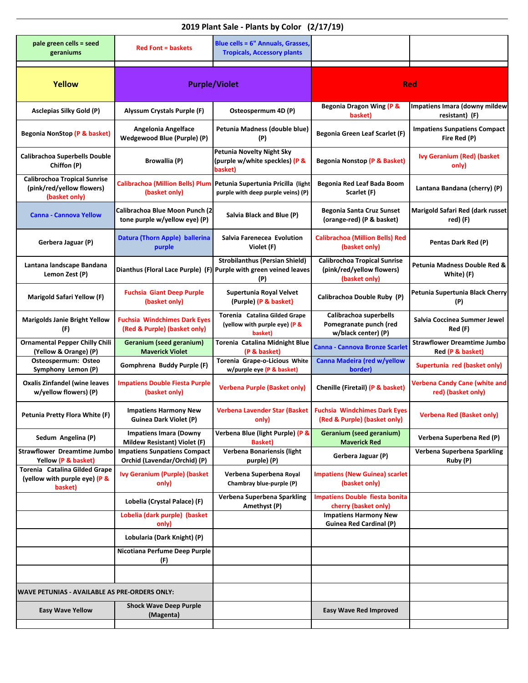| 2019 Plant Sale - Plants by Color (2/17/19)                                       |                                                                     |                                                                                 |                                                                                   |                                                            |  |  |  |
|-----------------------------------------------------------------------------------|---------------------------------------------------------------------|---------------------------------------------------------------------------------|-----------------------------------------------------------------------------------|------------------------------------------------------------|--|--|--|
| pale green cells = seed<br>geraniums                                              | <b>Red Font = baskets</b>                                           | Blue cells = 6" Annuals, Grasses,<br><b>Tropicals, Accessory plants</b>         |                                                                                   |                                                            |  |  |  |
| Yellow                                                                            | <b>Purple/Violet</b>                                                |                                                                                 | <b>Red</b>                                                                        |                                                            |  |  |  |
| Asclepias Silky Gold (P)                                                          | <b>Alyssum Crystals Purple (F)</b>                                  | Osteospermum 4D (P)                                                             | Begonia Dragon Wing (P &<br>basket)                                               | Impatiens Imara (downy mildew<br>resistant) (F)            |  |  |  |
| Begonia NonStop (P & basket)                                                      | <b>Angelonia Angelface</b><br>Wedgewood Blue (Purple) (P)           | Petunia Madness (double blue)<br>(P)                                            | Begonia Green Leaf Scarlet (F)                                                    | <b>Impatiens Sunpatiens Compact</b><br>Fire Red (P)        |  |  |  |
| <b>Calibrachoa Superbells Double</b><br>Chiffon (P)                               | <b>Browallia (P)</b>                                                | <b>Petunia Novelty Night Sky</b><br>(purple w/white speckles) (P &<br>basket)   | <b>Begonia Nonstop (P &amp; Basket)</b>                                           | <b>Ivy Geranium (Red) (basket</b><br>only)                 |  |  |  |
| <b>Calibrochoa Tropical Sunrise</b><br>(pink/red/yellow flowers)<br>(basket only) | <b>Calibrachoa (Million Bells) Plum</b><br>(basket only)            | Petunia Supertunia Pricilla (light<br>purple with deep purple veins) (P)        | Begonia Red Leaf Bada Boom<br>Scarlet (F)                                         | Lantana Bandana (cherry) (P)                               |  |  |  |
| <b>Canna - Cannova Yellow</b>                                                     | Calibrachoa Blue Moon Punch (2<br>tone purple w/yellow eye) (P)     | Salvia Black and Blue (P)                                                       | Begonia Santa Cruz Sunset<br>(orange-red) (P & basket)                            | Marigold Safari Red (dark russet<br>red) (F)               |  |  |  |
| Gerbera Jaguar (P)                                                                | Datura (Thorn Apple) ballerina<br>purple                            | Salvia Farenecea Evolution<br>Violet (F)                                        | <b>Calibrachoa (Million Bells) Red</b><br>(basket only)                           | Pentas Dark Red (P)                                        |  |  |  |
| Lantana landscape Bandana<br>Lemon Zest (P)                                       | Dianthus (Floral Lace Purple) (F)                                   | <b>Strobilanthus (Persian Shield)</b><br>Purple with green veined leaves<br>(P) | <b>Calibrochoa Tropical Sunrise</b><br>(pink/red/yellow flowers)<br>(basket only) | Petunia Madness Double Red &<br>White) (F)                 |  |  |  |
| Marigold Safari Yellow (F)                                                        | <b>Fuchsia Giant Deep Purple</b><br>(basket only)                   | Supertunia Royal Velvet<br>(Purple) (P & basket}                                | Calibrachoa Double Ruby (P)                                                       | Petunia Supertunia Black Cherry<br>(P)                     |  |  |  |
| <b>Marigolds Janie Bright Yellow</b><br>(F)                                       | <b>Fuchsia Windchimes Dark Eyes</b><br>(Red & Purple) (basket only) | Torenia Catalina Gilded Grape<br>(yellow with purple eye) (P &<br>basket)       | Calibrachoa superbells<br>Pomegranate punch (red<br>w/black center) (P)           | Salvia Coccinea Summer Jewel<br>Red (F)                    |  |  |  |
| <b>Ornamental Pepper Chilly Chili</b><br>(Yellow & Orange) (P)                    | Geranium (seed geranium)<br><b>Maverick Violet</b>                  | Torenia Catalina Midnight Blue<br>(P & basket)                                  | <b>Canna - Cannova Bronze Scarlet</b>                                             | <b>Strawflower Dreamtime Jumbo</b><br>Red (P & basket)     |  |  |  |
| Osteospermum: Osteo<br>Symphony Lemon (P)                                         | Gomphrena Buddy Purple (F)                                          | Torenia Grape-o-Licious White<br>w/purple eye (P & basket)                      | Canna Madeira (red w/yellow<br>border)                                            | Supertunia red (basket only)                               |  |  |  |
| <b>Oxalis Zinfandel (wine leaves</b><br>w/yellow flowers) (P)                     | <b>Impatiens Double Fiesta Purple</b><br>(basket only)              | <b>Verbena Purple (Basket only)</b>                                             | Chenille (Firetail) (P & basket)                                                  | <b>Verbena Candy Cane (white and</b><br>red) (basket only) |  |  |  |
| Petunia Pretty Flora White (F)                                                    | <b>Impatiens Harmony New</b><br><b>Guinea Dark Violet (P)</b>       | Verbena Lavender Star (Basket  <br>only)                                        | <b>Fuchsia Windchimes Dark Eyes</b><br>(Red & Purple) (basket only)               | <b>Verbena Red (Basket only)</b>                           |  |  |  |
| Sedum Angelina (P)                                                                | <b>Impatiens Imara (Downy</b><br>Mildew Resistant) Violet (F)       | Verbena Blue (light Purple) (P &<br><b>Basket</b> )                             | <b>Geranium (seed geranium)</b><br><b>Maverick Red</b>                            | Verbena Superbena Red (P)                                  |  |  |  |
| <b>Strawflower Dreamtime Jumbo</b><br>Yellow (P & basket)                         | <b>Impatiens Sunpatiens Compact</b><br>Orchid (Lavendar/Orchid) (P) | <b>Verbena Bonariensis (light</b><br>purple) (P)                                | Gerbera Jaguar (P)                                                                | Verbena Superbena Sparkling<br>Ruby (P)                    |  |  |  |
| Torenia Catalina Gilded Grape<br>(yellow with purple eye) (P &<br>basket)         | <b>Ivy Geranium (Purple) (basket</b><br>only)                       | Verbena Superbena Royal<br>Chambray blue-purple (P)                             | <b>Impatiens (New Guinea) scarlet</b><br>(basket only)                            |                                                            |  |  |  |
|                                                                                   | Lobelia (Crystal Palace) (F)                                        | Verbena Superbena Sparkling<br>Amethyst (P)                                     | <b>Impatiens Double fiesta bonita</b><br>cherry (basket only)                     |                                                            |  |  |  |
|                                                                                   | Lobelia (dark purple) (basket<br>only)                              |                                                                                 | <b>Impatiens Harmony New</b><br><b>Guinea Red Cardinal (P)</b>                    |                                                            |  |  |  |
|                                                                                   | Lobularia (Dark Knight) (P)                                         |                                                                                 |                                                                                   |                                                            |  |  |  |
|                                                                                   | Nicotiana Perfume Deep Purple<br>(F)                                |                                                                                 |                                                                                   |                                                            |  |  |  |
|                                                                                   |                                                                     |                                                                                 |                                                                                   |                                                            |  |  |  |
| WAVE PETUNIAS - AVAILABLE AS PRE-ORDERS ONLY:                                     |                                                                     |                                                                                 |                                                                                   |                                                            |  |  |  |
| <b>Easy Wave Yellow</b>                                                           | <b>Shock Wave Deep Purple</b><br>(Magenta)                          |                                                                                 | <b>Easy Wave Red Improved</b>                                                     |                                                            |  |  |  |
|                                                                                   |                                                                     |                                                                                 |                                                                                   |                                                            |  |  |  |